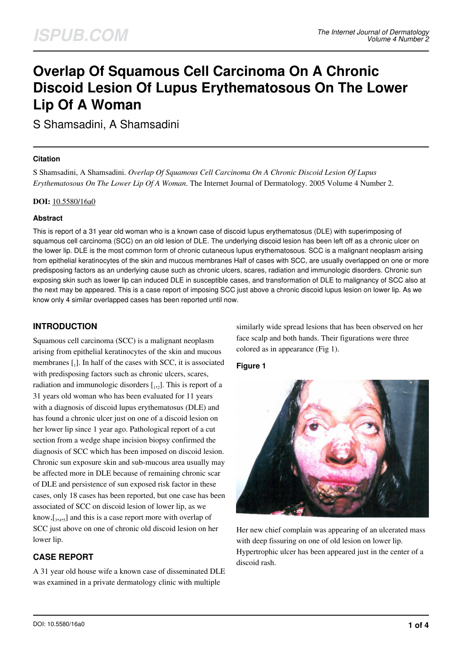# **Overlap Of Squamous Cell Carcinoma On A Chronic Discoid Lesion Of Lupus Erythematosous On The Lower Lip Of A Woman**

S Shamsadini, A Shamsadini

#### **Citation**

S Shamsadini, A Shamsadini. *Overlap Of Squamous Cell Carcinoma On A Chronic Discoid Lesion Of Lupus Erythematosous On The Lower Lip Of A Woman*. The Internet Journal of Dermatology. 2005 Volume 4 Number 2.

#### **DOI:** [10.5580/16a0](https://ispub.com/doi/10.5580/16a0)

### **Abstract**

This is report of a 31 year old woman who is a known case of discoid lupus erythematosus (DLE) with superimposing of squamous cell carcinoma (SCC) on an old lesion of DLE. The underlying discoid lesion has been left off as a chronic ulcer on the lower lip. DLE is the most common form of chronic cutaneous lupus erythematosous. SCC is a malignant neoplasm arising from epithelial keratinocytes of the skin and mucous membranes Half of cases with SCC, are usually overlapped on one or more predisposing factors as an underlying cause such as chronic ulcers, scares, radiation and immunologic disorders. Chronic sun exposing skin such as lower lip can induced DLE in susceptible cases, and transformation of DLE to malignancy of SCC also at the next may be appeared. This is a case report of imposing SCC just above a chronic discoid lupus lesion on lower lip. As we know only 4 similar overlapped cases has been reported until now.

## **INTRODUCTION**

Squamous cell carcinoma (SCC) is a malignant neoplasm arising from epithelial keratinocytes of the skin and mucous membranes  $\left[ \begin{smallmatrix} 1 \end{smallmatrix} \right]$ . In half of the cases with SCC, it is associated with predisposing factors such as chronic ulcers, scares, radiation and immunologic disorders  $[.,_2]$ . This is report of a 31 years old woman who has been evaluated for 11 years with a diagnosis of discoid lupus erythematosus (DLE) and has found a chronic ulcer just on one of a discoid lesion on her lower lip since 1 year ago. Pathological report of a cut section from a wedge shape incision biopsy confirmed the diagnosis of SCC which has been imposed on discoid lesion. Chronic sun exposure skin and sub-mucous area usually may be affected more in DLE because of remaining chronic scar of DLE and persistence of sun exposed risk factor in these cases, only 18 cases has been reported, but one case has been associated of SCC on discoid lesion of lower lip, as we know, [<sub>3,4,5</sub>] and this is a case report more with overlap of SCC just above on one of chronic old discoid lesion on her lower lip.

## **CASE REPORT**

A 31 year old house wife a known case of disseminated DLE was examined in a private dermatology clinic with multiple

similarly wide spread lesions that has been observed on her face scalp and both hands. Their figurations were three colored as in appearance (Fig 1).

### **Figure 1**



Her new chief complain was appearing of an ulcerated mass with deep fissuring on one of old lesion on lower lip. Hypertrophic ulcer has been appeared just in the center of a discoid rash.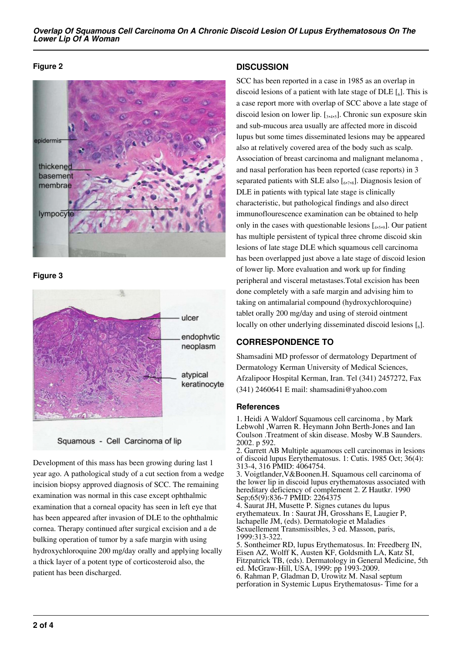#### **Figure 2**



**Figure 3**





Development of this mass has been growing during last 1 year ago. A pathological study of a cut section from a wedge incision biopsy approved diagnosis of SCC. The remaining examination was normal in this case except ophthalmic examination that a corneal opacity has seen in left eye that has been appeared after invasion of DLE to the ophthalmic cornea. Therapy continued after surgical excision and a de bulking operation of tumor by a safe margin with using hydroxychloroquine 200 mg/day orally and applying locally a thick layer of a potent type of corticosteroid also, the patient has been discharged.

## **DISCUSSION**

SCC has been reported in a case in 1985 as an overlap in discoid lesions of a patient with late stage of DLE  $\left[\begin{smallmatrix}6\end{smallmatrix}\right]$ . This is a case report more with overlap of SCC above a late stage of discoid lesion on lower lip.  $[\,3,4,5]$ . Chronic sun exposure skin and sub-mucous area usually are affected more in discoid lupus but some times disseminated lesions may be appeared also at relatively covered area of the body such as scalp. Association of breast carcinoma and malignant melanoma , and nasal perforation has been reported (case reports) in 3 separated patients with SLE also  $[\,6,7,8]$ . Diagnosis lesion of DLE in patients with typical late stage is clinically characteristic, but pathological findings and also direct immunoflourescence examination can be obtained to help only in the cases with questionable lesions  $[$ <sub>4,5</sub>,<sub>9</sub> $]$ . Our patient has multiple persistent of typical three chrome discoid skin lesions of late stage DLE which squamous cell carcinoma has been overlapped just above a late stage of discoid lesion of lower lip. More evaluation and work up for finding peripheral and visceral metastases.Total excision has been done completely with a safe margin and advising him to taking on antimalarial compound (hydroxychloroquine) tablet orally 200 mg/day and using of steroid ointment locally on other underlying disseminated discoid lesions  $\left[\begin{smallmatrix}6\end{smallmatrix}\right]$ .

## **CORRESPONDENCE TO**

Shamsadini MD professor of dermatology Department of Dermatology Kerman University of Medical Sciences, Afzalipoor Hospital Kerman, Iran. Tel (341) 2457272, Fax (341) 2460641 E mail: shamsadini@yahoo.com

### **References**

1. Heidi A Waldorf Squamous cell carcinoma , by Mark Lebwohl ,Warren R. Heymann John Berth-Jones and Ian Coulson .Treatment of skin disease. Mosby W.B Saunders. 2002. p 592.

2. Garrett AB Multiple aquamous cell carcinomas in lesions of discoid lupus Eerythematosus. 1: Cutis. 1985 Oct; 36(4): 313-4, 316 PMID: 4064754.

3. Voigtlander,V&Boonen.H. Squamous cell carcinoma of the lower lip in discoid lupus erythematosus associated with hereditary deficiency of complement 2. Z Hautkr. 1990 Sep;65(9):836-7 PMID: 2264375

4. Saurat JH, Musette P. Signes cutanes du lupus erythemateux. In : Saurat JH, Grosshans E, Laugier P, lachapelle JM, (eds). Dermatologie et Maladies Sexuellement Transmissibles, 3 ed. Masson, paris, 1999:313-322.

5. Sontheimer RD, lupus Erythematosus. In: Freedberg IN, Eisen AZ, Wolff K, Austen KF, Goldsmith LA, Katz SI, Fitzpatrick TB, (eds). Dermatology in General Medicine, 5th ed. McGraw-Hill, USA, 1999: pp 1993-2009. 6. Rahman P, Gladman D, Urowitz M. Nasal septum perforation in Systemic Lupus Erythematosus- Time for a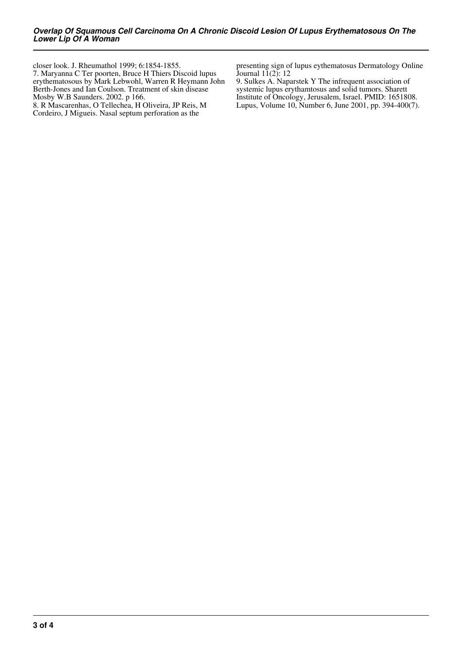closer look. J. Rheumathol 1999; 6:1854-1855. 7. Maryanna C Ter poorten, Bruce H Thiers Discoid lupus erythematosous by Mark Lebwohl, Warren R Heymann John Berth-Jones and Ian Coulson. Treatment of skin disease Mosby W.B Saunders. 2002. p 166.

8. R Mascarenhas, O Tellechea, H Oliveira, JP Reis, M Cordeiro, J Migueis. Nasal septum perforation as the

presenting sign of lupus eythematosus Dermatology Online Journal  $11(2)$ : 12

9. Sulkes A. Naparstek Y The infrequent association of systemic lupus erythamtosus and solid tumors. Sharett Institute of Oncology, Jerusalem, Israel. PMID: 1651808. Lupus, Volume 10, Number 6, June 2001, pp. 394-400(7).